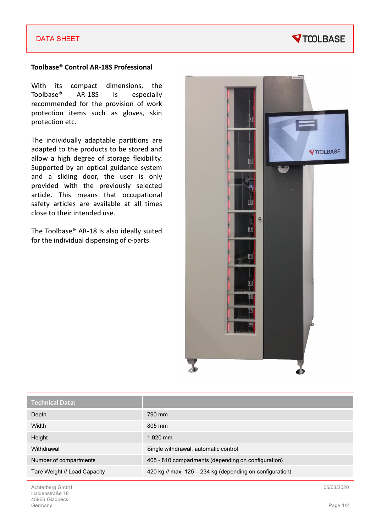#### DATA SHEET

## **VTOOLBASE**

#### Toolbase® Control AR-18S Professional

With its compact dimensions, the Toolbase® AR-18S is especially recommended for the provision of work protection items such as gloves, skin protection etc.

The individually adaptable partitions are adapted to the products to be stored and allow a high degree of storage flexibility. Supported by an optical guidance system and a sliding door, the user is only provided with the previously selected article. This means that occupational safety articles are available at all times close to their intended use.

The Toolbase® AR-18 is also ideally suited for the individual dispensing of c-parts.



| <b>Technical Data:</b>       |                                                          |
|------------------------------|----------------------------------------------------------|
| Depth                        | 790 mm                                                   |
| Width                        | 805 mm                                                   |
| Height                       | $1.920$ mm                                               |
| Withdrawal                   | Single withdrawal, automatic control                     |
| Number of compartments       | 405 - 810 compartments (depending on configuration)      |
| Tare Weight // Load Capacity | 420 kg // max. 125 – 234 kg (depending on configuration) |

Achterberg GmbH Haldenstraße 18 45966 Gladbeck Germany

05/03/2020